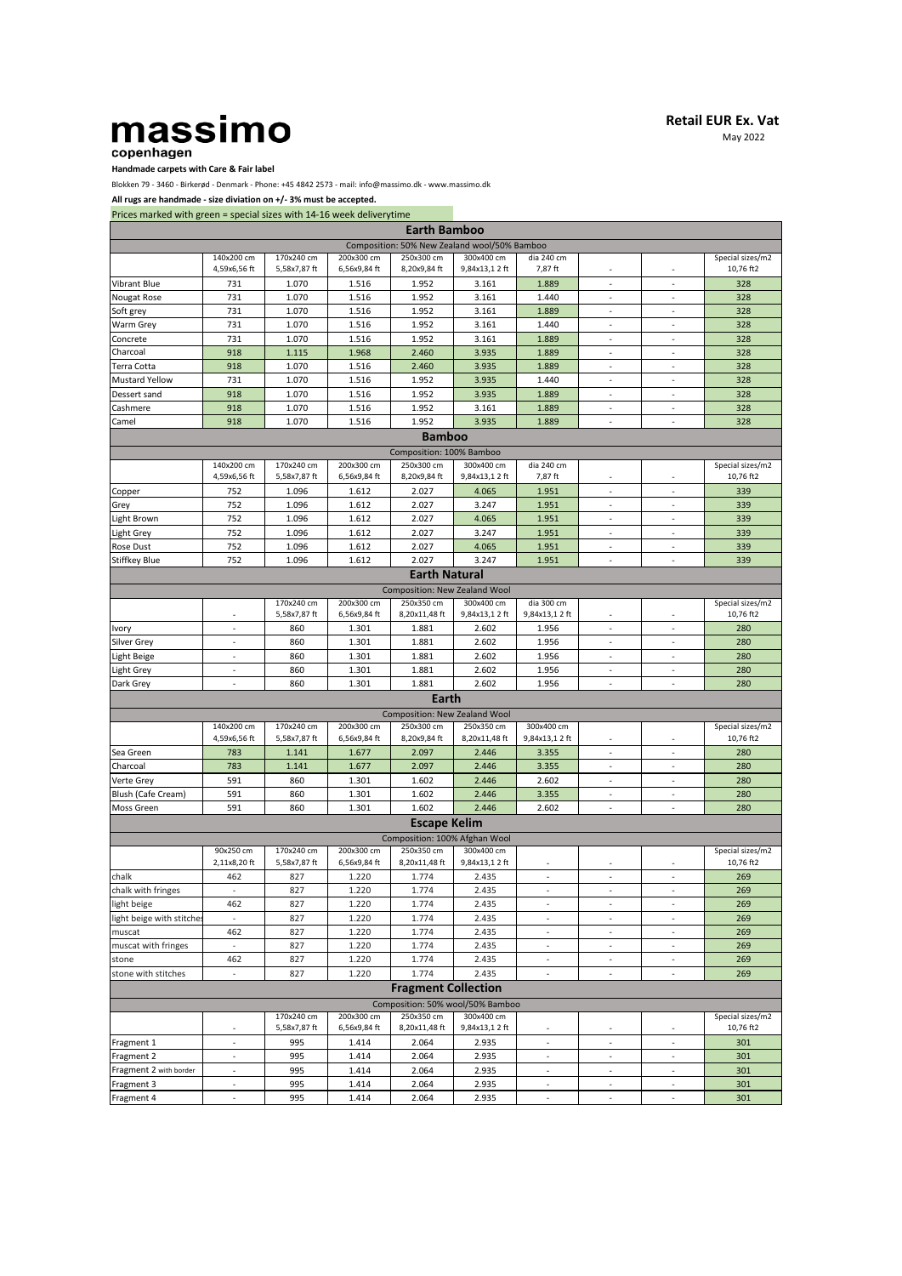## massimo copenhagen

**Retail EUR Ex. Vat**

May 2022

## **Handmade carpets with Care & Fair label**

Blokken 79 - 3460 - Birkerød - Denmark - Phone: +45 4842 2573 - mail: info@massimo.dk - www.massimo.dk

**All rugs are handmade - size diviation on +/- 3% must be accepted.**

| Prices marked with green = special sizes with 14-16 week deliverytime |  |  |  |  |  |  |  |
|-----------------------------------------------------------------------|--|--|--|--|--|--|--|
|-----------------------------------------------------------------------|--|--|--|--|--|--|--|

| These manded with green - special sizes with 14 10 week activery thrue |                            |                            |                            | <b>Earth Bamboo</b>           |                                              |                          |                          |                          |                               |
|------------------------------------------------------------------------|----------------------------|----------------------------|----------------------------|-------------------------------|----------------------------------------------|--------------------------|--------------------------|--------------------------|-------------------------------|
|                                                                        |                            |                            |                            |                               | Composition: 50% New Zealand wool/50% Bamboo |                          |                          |                          |                               |
|                                                                        | 140x200 cm<br>4,59x6,56 ft | 170x240 cm<br>5,58x7,87 ft | 200x300 cm<br>6,56x9,84 ft | 250x300 cm<br>8,20x9,84 ft    | 300x400 cm<br>9,84x13,12 ft                  | dia 240 cm<br>7,87 ft    |                          |                          | Special sizes/m2<br>10,76 ft2 |
| <b>Vibrant Blue</b>                                                    | 731                        | 1.070                      | 1.516                      | 1.952                         | 3.161                                        | 1.889                    | ÷,                       | $\overline{\phantom{a}}$ | 328                           |
| Nougat Rose                                                            | 731                        | 1.070                      | 1.516                      | 1.952                         | 3.161                                        | 1.440                    |                          |                          | 328                           |
| Soft grey                                                              | 731                        | 1.070                      | 1.516                      | 1.952                         | 3.161                                        | 1.889                    | $\overline{a}$           | $\overline{\phantom{a}}$ | 328                           |
| Warm Grey                                                              | 731                        | 1.070                      | 1.516                      | 1.952                         | 3.161                                        | 1.440                    |                          |                          | 328                           |
| Concrete                                                               | 731                        | 1.070                      | 1.516                      | 1.952                         | 3.161                                        | 1.889                    | $\overline{\phantom{a}}$ | $\overline{\phantom{a}}$ | 328                           |
| Charcoal                                                               | 918                        | 1.115                      | 1.968                      | 2.460                         | 3.935                                        | 1.889                    |                          |                          | 328                           |
| Terra Cotta                                                            | 918                        | 1.070                      | 1.516                      | 2.460                         | 3.935                                        | 1.889                    | $\sim$                   | ÷,                       | 328                           |
| <b>Mustard Yellow</b>                                                  | 731                        | 1.070                      | 1.516                      | 1.952                         | 3.935                                        | 1.440                    | ٠                        | $\overline{\phantom{a}}$ | 328                           |
| Dessert sand                                                           | 918                        | 1.070                      | 1.516                      | 1.952                         | 3.935                                        | 1.889                    | $\sim$                   | $\overline{\phantom{a}}$ | 328                           |
| Cashmere                                                               | 918                        | 1.070                      | 1.516                      | 1.952                         | 3.161                                        | 1.889                    | $\sim$                   | $\sim$                   | 328                           |
| Camel                                                                  | 918                        | 1.070                      | 1.516                      | 1.952                         | 3.935                                        | 1.889                    | $\omega$                 | $\overline{\phantom{a}}$ | 328                           |
|                                                                        |                            |                            |                            | <b>Bamboo</b>                 |                                              |                          |                          |                          |                               |
|                                                                        |                            |                            |                            | Composition: 100% Bamboo      |                                              |                          |                          |                          |                               |
|                                                                        | 140x200 cm<br>4,59x6,56 ft | 170x240 cm<br>5,58x7,87 ft | 200x300 cm<br>6,56x9,84 ft | 250x300 cm<br>8,20x9,84 ft    | 300x400 cm<br>9,84x13,12 ft                  | dia 240 cm<br>7,87 ft    | ÷,                       | $\sim$                   | Special sizes/m2<br>10,76 ft2 |
| Copper                                                                 | 752                        | 1.096                      | 1.612                      | 2.027                         | 4.065                                        | 1.951                    |                          | ÷,                       | 339                           |
| Grey                                                                   | 752                        | 1.096                      | 1.612                      | 2.027                         | 3.247                                        | 1.951                    | ä,                       | ÷,                       | 339                           |
| Light Brown                                                            | 752                        | 1.096                      | 1.612                      | 2.027                         | 4.065                                        | 1.951                    | ÷,                       | $\overline{a}$           | 339                           |
| Light Grey                                                             | 752                        | 1.096                      | 1.612                      | 2.027                         | 3.247                                        | 1.951                    | ÷,                       | L.                       | 339                           |
| Rose Dust                                                              | 752                        | 1.096                      | 1.612                      | 2.027                         | 4.065                                        | 1.951                    | $\bar{z}$                | ÷,                       | 339                           |
| Stiffkey Blue                                                          | 752                        | 1.096                      | 1.612                      | 2.027                         | 3.247                                        | 1.951                    | ÷.                       |                          | 339                           |
|                                                                        |                            |                            |                            | <b>Earth Natural</b>          |                                              |                          |                          |                          |                               |
|                                                                        |                            |                            |                            | Composition: New Zealand Wool |                                              |                          |                          |                          |                               |
|                                                                        |                            | 170x240 cm                 | 200x300 cm                 | 250x350 cm                    | 300x400 cm                                   | dia 300 cm               |                          |                          | Special sizes/m2              |
|                                                                        |                            | 5,58x7,87 ft               | 6,56x9,84 ft               | 8,20x11,48 ft                 | 9,84x13,12 ft                                | 9,84x13,12 ft            |                          |                          | 10,76 ft2                     |
| Ivory                                                                  | $\omega$                   | 860                        | 1.301                      | 1.881                         | 2.602                                        | 1.956                    | $\bar{z}$                | $\overline{\phantom{a}}$ | 280                           |
| Silver Grey                                                            | ÷.                         | 860                        | 1.301                      | 1.881                         | 2.602                                        | 1.956                    | $\sim$                   | $\overline{\phantom{a}}$ | 280                           |
| Light Beige                                                            | $\blacksquare$             | 860                        | 1.301                      | 1.881                         | 2.602                                        | 1.956                    | $\omega$                 | ÷.                       | 280                           |
| Light Grey                                                             |                            | 860                        | 1.301                      | 1.881                         | 2.602                                        | 1.956                    |                          |                          | 280                           |
| Dark Grey                                                              |                            | 860                        | 1.301                      | 1.881                         | 2.602                                        | 1.956                    | ÷,                       |                          | 280                           |
|                                                                        |                            |                            |                            | Earth                         |                                              |                          |                          |                          |                               |
|                                                                        |                            |                            |                            | Composition: New Zealand Wool |                                              |                          |                          |                          |                               |
|                                                                        | 140x200 cm                 | 170x240 cm                 | 200x300 cm                 | 250x300 cm                    | 250x350 cm                                   | 300x400 cm               |                          |                          | Special sizes/m2              |
|                                                                        | 4,59x6,56 ft               | 5,58x7,87 ft               | 6,56x9,84 ft               | 8,20x9,84 ft                  | 8,20x11,48 ft                                | 9,84x13,12 ft            |                          |                          | 10,76 ft2                     |
| Sea Green                                                              | 783                        | 1.141                      | 1.677                      | 2.097                         | 2.446                                        | 3.355                    |                          |                          | 280                           |
| Charcoal                                                               | 783                        | 1.141                      | 1.677                      | 2.097                         | 2.446                                        | 3.355                    | $\overline{\phantom{a}}$ | $\overline{\phantom{a}}$ | 280                           |
| Verte Grey                                                             | 591                        | 860                        | 1.301                      | 1.602                         | 2.446                                        | 2.602                    | $\overline{\phantom{a}}$ | $\overline{\phantom{a}}$ | 280                           |
| Blush (Cafe Cream)                                                     | 591                        | 860                        | 1.301                      | 1.602                         | 2.446                                        | 3.355                    | $\sim$                   | $\sim$                   | 280                           |
| Moss Green                                                             | 591                        | 860                        | 1.301                      | 1.602                         | 2.446                                        | 2.602                    |                          |                          | 280                           |
|                                                                        |                            |                            |                            | <b>Escape Kelim</b>           |                                              |                          |                          |                          |                               |
|                                                                        |                            |                            |                            | Composition: 100% Afghan Wool |                                              |                          |                          |                          |                               |
|                                                                        | 90x250 cm                  | 170x240 cm                 | 200x300 cm                 | 250x350 cm                    | 300x400 cm                                   |                          |                          |                          | Special sizes/m2              |
|                                                                        | 2,11x8,20 ft               | 5,58x7,87 ft               | 6,56x9,84 ft               | 8,20x11,48 ft                 | 9,84x13,12 ft                                |                          |                          |                          | 10,76 ft2                     |
| chalk                                                                  | 462                        | 827                        | 1.220                      | 1.774                         | 2.435                                        | $\blacksquare$           | $\overline{\phantom{a}}$ | $\omega$                 | 269                           |
| chalk with fringes                                                     | $\sim$                     | 827                        | 1.220                      | 1.774                         | 2.435                                        | $\sim$                   | $\sim$                   | $\overline{\phantom{a}}$ | 269                           |
| light beige                                                            | 462                        | 827                        | 1.220                      | 1.774                         | 2.435                                        | $\overline{\phantom{a}}$ | ÷,                       | $\overline{\phantom{a}}$ | 269                           |
| light beige with stitche                                               | $\sim$                     | 827                        | 1.220                      | 1.774                         | 2.435                                        | $\overline{\phantom{a}}$ | $\blacksquare$           | $\blacksquare$           | 269                           |
| muscat                                                                 | 462                        | 827                        | 1.220                      | 1.774                         | 2.435                                        | $\blacksquare$           | $\blacksquare$           | $\blacksquare$           | 269                           |
| muscat with fringes                                                    | $\sim$                     | 827                        | 1.220                      | 1.774                         | 2.435                                        | $\sim$                   | $\sim$                   | $\sim$                   | 269                           |
| stone                                                                  | 462                        | 827                        | 1.220                      | 1.774                         | 2.435                                        | $\bar{z}$                | $\overline{\phantom{a}}$ | ÷,                       | 269                           |
| stone with stitches                                                    | ÷.                         | 827                        | 1.220                      | 1.774                         | 2.435                                        | $\overline{\phantom{a}}$ | $\Box$                   | $\blacksquare$           | 269                           |
|                                                                        |                            |                            |                            | <b>Fragment Collection</b>    |                                              |                          |                          |                          |                               |
|                                                                        |                            |                            |                            |                               | Composition: 50% wool/50% Bamboo             |                          |                          |                          |                               |
|                                                                        |                            | 170x240 cm<br>5,58x7,87 ft | 200x300 cm<br>6,56x9,84 ft | 250x350 cm<br>8,20x11,48 ft   | 300x400 cm<br>9,84x13,12 ft                  |                          |                          |                          | Special sizes/m2<br>10,76 ft2 |
| Fragment 1                                                             | $\sim$                     | 995                        | 1.414                      | 2.064                         | 2.935                                        | $\overline{\phantom{a}}$ | $\overline{\phantom{a}}$ | ÷,                       | 301                           |
| Fragment 2                                                             | $\blacksquare$             | 995                        | 1.414                      | 2.064                         | 2.935                                        | $\overline{\phantom{a}}$ | $\blacksquare$           | $\blacksquare$           | 301                           |
| Fragment 2 with border                                                 | $\overline{\phantom{a}}$   | 995                        | 1.414                      | 2.064                         | 2.935                                        | $\blacksquare$           | $\Box$                   |                          | 301                           |
| Fragment 3                                                             | $\frac{1}{2}$              | 995                        | 1.414                      | 2.064                         | 2.935                                        | $\overline{\phantom{a}}$ | $\blacksquare$           | $\blacksquare$           | 301                           |
| Fragment 4                                                             | $\overline{\phantom{a}}$   | 995                        | 1.414                      | 2.064                         | 2.935                                        | $\overline{\phantom{a}}$ | $\overline{\phantom{a}}$ |                          | 301                           |
|                                                                        |                            |                            |                            |                               |                                              |                          |                          |                          |                               |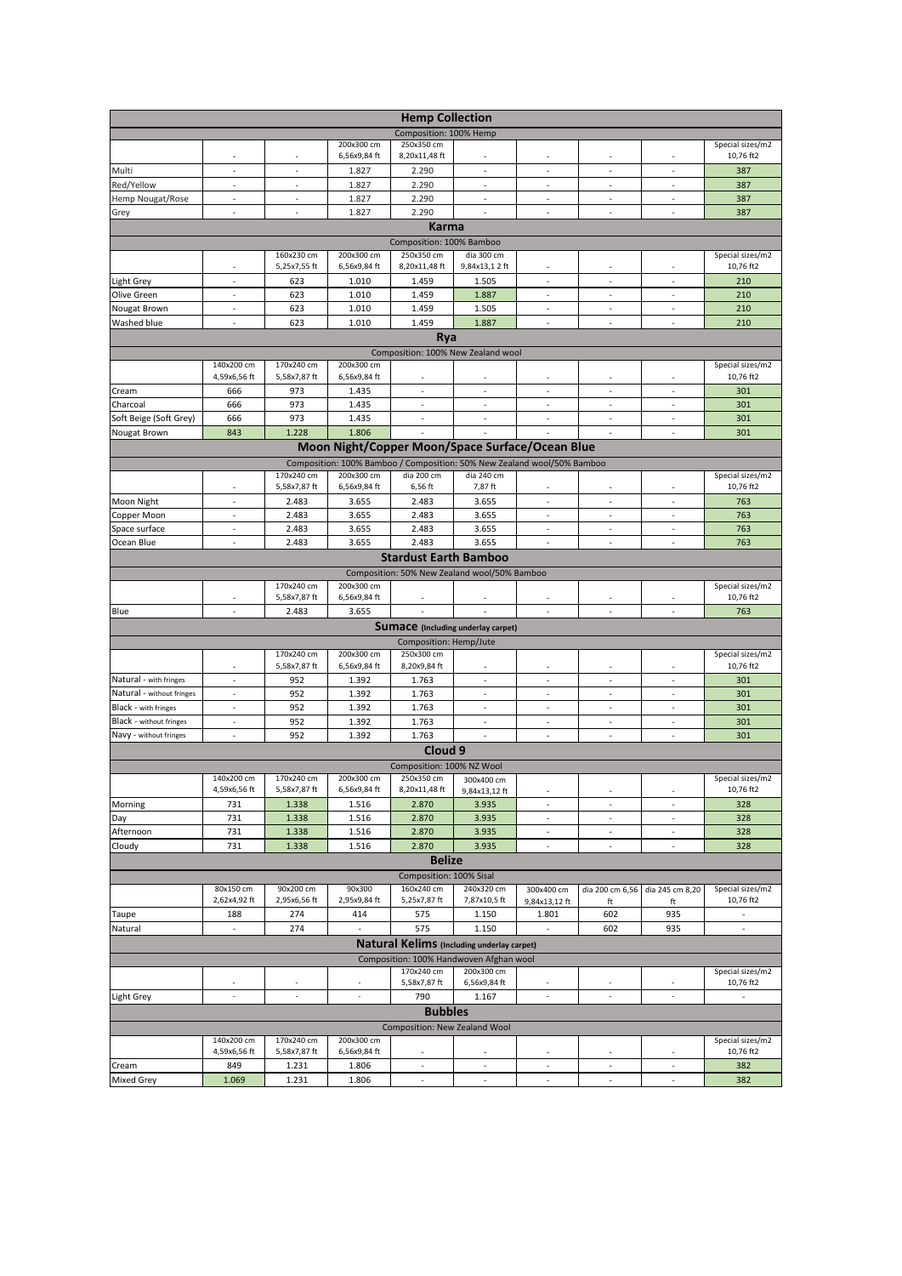|                                |                                           |                            |                            | <b>Hemp Collection</b>        |                                                                         |                          |                          |                          |                               |
|--------------------------------|-------------------------------------------|----------------------------|----------------------------|-------------------------------|-------------------------------------------------------------------------|--------------------------|--------------------------|--------------------------|-------------------------------|
|                                |                                           |                            |                            | Composition: 100% Hemp        |                                                                         |                          |                          |                          |                               |
|                                | $\overline{\phantom{a}}$                  | $\overline{\phantom{a}}$   | 200x300 cm<br>6,56x9,84 ft | 250x350 cm<br>8,20x11,48 ft   |                                                                         | $\overline{\phantom{a}}$ | $\overline{\phantom{a}}$ | $\overline{\phantom{a}}$ | Special sizes/m2<br>10,76 ft2 |
| Multi                          | $\sim$                                    | $\sim$                     | 1.827                      | 2.290                         | $\overline{a}$                                                          | ÷.                       | $\overline{a}$           | ÷                        | 387                           |
| Red/Yellow                     | $\omega$                                  | $\omega$                   | 1.827                      | 2.290                         | $\omega$                                                                | $\omega$                 | ÷.                       | $\omega$                 | 387                           |
| Hemp Nougat/Rose               | ÷                                         | ÷                          | 1.827                      | 2.290                         | ÷                                                                       | ÷,                       | $\sim$                   | $\sim$                   | 387                           |
| Grey                           | ÷,                                        |                            | 1.827                      | 2.290                         |                                                                         | ä,                       | ÷,                       | ÷,                       | 387                           |
|                                |                                           |                            |                            | <b>Karma</b>                  |                                                                         |                          |                          |                          |                               |
|                                |                                           |                            |                            | Composition: 100% Bamboo      |                                                                         |                          |                          |                          |                               |
|                                |                                           | 160x230 cm                 | 200x300 cm                 | 250x350 cm                    | dia 300 cm                                                              |                          |                          |                          | Special sizes/m2              |
|                                |                                           | 5,25x7,55 ft               | 6,56x9,84 ft               | 8,20x11,48 ft                 | 9,84x13,12 ft                                                           |                          |                          |                          | 10,76 ft2                     |
| Light Grey                     | $\sim$                                    | 623                        | 1.010                      | 1.459                         | 1.505                                                                   | $\sim$                   | ٠                        | $\ddot{\phantom{1}}$     | 210                           |
| Olive Green                    | $\sim$<br>$\sim$                          | 623                        | 1.010                      | 1.459                         | 1.887                                                                   | $\sim$<br>$\sim$         | $\sim$<br>$\sim$         | ÷.<br>$\sim$             | 210                           |
| Nougat Brown<br>Washed blue    | ÷.                                        | 623<br>623                 | 1.010<br>1.010             | 1.459<br>1.459                | 1.505<br>1.887                                                          | ÷.                       | ÷.                       | $\sim$                   | 210<br>210                    |
|                                |                                           |                            |                            | Rya                           |                                                                         |                          |                          |                          |                               |
|                                |                                           |                            |                            |                               | Composition: 100% New Zealand wool                                      |                          |                          |                          |                               |
|                                | 140x200 cm                                | 170x240 cm                 | 200x300 cm                 |                               |                                                                         |                          |                          |                          | Special sizes/m2              |
|                                | 4,59x6,56 ft                              | 5,58x7,87 ft               | 6,56x9,84 ft               |                               |                                                                         |                          |                          |                          | 10,76 ft2                     |
| Cream                          | 666                                       | 973                        | 1.435                      | $\sim$                        | $\overline{a}$                                                          | $\sim$                   | $\overline{\phantom{a}}$ | $\overline{\phantom{a}}$ | 301                           |
| Charcoal                       | 666                                       | 973                        | 1.435                      | $\sim$                        | $\sim$                                                                  | $\sim$                   | $\sim$                   | $\sim$                   | 301                           |
| Soft Beige (Soft Grey)         | 666                                       | 973                        | 1.435                      | ÷.                            | $\sim$                                                                  | ÷                        | ÷                        | $\sim$                   | 301                           |
| Nougat Brown                   | 843                                       | 1.228                      | 1.806                      |                               |                                                                         |                          | ÷,                       | ä,                       | 301                           |
|                                |                                           |                            |                            |                               | Moon Night/Copper Moon/Space Surface/Ocean Blue                         |                          |                          |                          |                               |
|                                |                                           |                            |                            |                               | Composition: 100% Bamboo / Composition: 50% New Zealand wool/50% Bamboo |                          |                          |                          |                               |
|                                |                                           | 170x240 cm<br>5,58x7,87 ft | 200x300 cm<br>6,56x9,84 ft | dia 200 cm<br>6,56 ft         | dia 240 cm<br>7,87 ft                                                   |                          |                          |                          | Special sizes/m2<br>10,76 ft2 |
| Moon Night                     | $\overline{\phantom{a}}$                  | 2.483                      | 3.655                      | 2.483                         | 3.655                                                                   | $\overline{\phantom{a}}$ | $\overline{\phantom{a}}$ | $\overline{\phantom{a}}$ | 763                           |
| Copper Moon                    | $\overline{\phantom{a}}$                  | 2.483                      | 3.655                      | 2.483                         | 3.655                                                                   |                          |                          | $\overline{\phantom{a}}$ | 763                           |
| Space surface                  | $\overline{\phantom{a}}$                  | 2.483                      | 3.655                      | 2.483                         | 3.655                                                                   | $\overline{\phantom{a}}$ | $\overline{\phantom{a}}$ | $\overline{\phantom{a}}$ | 763                           |
| Ocean Blue                     |                                           | 2.483                      | 3.655                      | 2.483                         | 3.655                                                                   | $\overline{\phantom{a}}$ | ٠                        | $\overline{\phantom{a}}$ | 763                           |
|                                |                                           |                            |                            | <b>Stardust Earth Bamboo</b>  |                                                                         |                          |                          |                          |                               |
|                                |                                           |                            |                            |                               | Composition: 50% New Zealand wool/50% Bamboo                            |                          |                          |                          |                               |
|                                |                                           | 170x240 cm                 | 200x300 cm                 |                               |                                                                         |                          |                          |                          | Special sizes/m2              |
|                                |                                           | 5,58x7,87 ft               | 6,56x9,84 ft               |                               |                                                                         |                          |                          |                          | 10,76 ft2                     |
| Blue                           | $\sim$                                    | 2.483                      | 3.655                      | $\sim$                        |                                                                         | $\sim$                   | $\overline{a}$           | $\sim$                   | 763                           |
|                                | <b>Sumace</b> (Including underlay carpet) |                            |                            |                               |                                                                         |                          |                          |                          |                               |
|                                |                                           |                            |                            | Composition: Hemp/Jute        |                                                                         |                          |                          |                          |                               |
|                                | ٠                                         | 170x240 cm<br>5,58x7,87 ft | 200x300 cm<br>6,56x9,84 ft | 250x300 cm<br>8,20x9,84 ft    |                                                                         | $\overline{\phantom{a}}$ | ٠                        | $\overline{\phantom{a}}$ | Special sizes/m2<br>10,76 ft2 |
| Natural - with fringes         | $\sim$                                    | 952                        | 1.392                      | 1.763                         | $\sim$                                                                  | $\sim$                   | $\overline{\phantom{a}}$ | $\sim$                   | 301                           |
| Natural - without fringes      | $\sim$                                    | 952                        | 1.392                      | 1.763                         | $\sim$                                                                  | $\overline{\phantom{a}}$ | $\overline{\phantom{a}}$ | $\overline{\phantom{a}}$ | 301                           |
| Black - with fringes           | $\sim$                                    | 952                        | 1.392                      | 1.763                         | $\sim$                                                                  | $\overline{\phantom{a}}$ | $\sim$                   | $\overline{\phantom{a}}$ | 301                           |
| <b>Black - without fringes</b> | $\sim$                                    | 952                        | 1.392                      | 1.763                         | ÷,                                                                      | $\blacksquare$           | ÷,                       | $\blacksquare$           | 301                           |
| Navy - without fringes         | $\sim$                                    | 952                        | 1.392                      | 1.763                         | $\sim$                                                                  | $\sim$                   | $\sim$                   | $\sim$                   | 301                           |
|                                |                                           |                            |                            | Cloud <sub>9</sub>            |                                                                         |                          |                          |                          |                               |
|                                |                                           |                            |                            | Composition: 100% NZ Wool     |                                                                         |                          |                          |                          |                               |
|                                | 140x200 cm                                | 170x240 cm                 | 200x300 cm                 | 250x350 cm                    | 300x400 cm                                                              |                          |                          |                          | Special sizes/m2              |
|                                | 4,59x6,56 ft                              | 5,58x7,87 ft               | 6,56x9,84 ft               | 8,20x11,48 ft                 | 9,84x13,12 ft                                                           |                          |                          |                          | 10,76 ft2                     |
| Morning                        | 731                                       | 1.338                      | 1.516                      | 2.870                         | 3.935                                                                   | $\sim$                   | $\sim$                   | $\sim$                   | 328                           |
| Day<br>Afternoon               | 731<br>731                                | 1.338                      | 1.516                      | 2.870                         | 3.935                                                                   | ÷,<br>$\blacksquare$     | $\sim$<br>$\omega$       | ÷,<br>$\sim$             | 328                           |
| Cloudy                         | 731                                       | 1.338<br>1.338             | 1.516<br>1.516             | 2.870<br>2.870                | 3.935<br>3.935                                                          | $\overline{\phantom{a}}$ | $\omega$                 | $\omega$                 | 328<br>328                    |
|                                |                                           |                            |                            | <b>Belize</b>                 |                                                                         |                          |                          |                          |                               |
|                                |                                           |                            |                            | Composition: 100% Sisal       |                                                                         |                          |                          |                          |                               |
|                                | 80x150 cm                                 | 90x200 cm                  | 90x300                     | 160x240 cm                    | 240x320 cm                                                              | 300x400 cm               | dia 200 cm 6,56          | dia 245 cm 8,20          | Special sizes/m2              |
|                                | 2,62x4,92 ft                              | 2,95x6,56 ft               | 2,95x9,84 ft               | 5,25x7,87 ft                  | 7,87x10,5 ft                                                            | 9,84x13,12 ft            | ft                       | ft                       | 10,76 ft2                     |
| Taupe                          | 188                                       | 274                        | 414                        | 575                           | 1.150                                                                   | 1.801                    | 602                      | 935                      |                               |
| Natural                        | $\overline{\phantom{a}}$                  | 274                        |                            | 575                           | 1.150                                                                   |                          | 602                      | 935                      | $\blacksquare$                |
|                                |                                           |                            |                            |                               | <b>Natural Kelims</b> (Including underlay carpet)                       |                          |                          |                          |                               |
|                                |                                           |                            |                            |                               | Composition: 100% Handwoven Afghan wool                                 |                          |                          |                          |                               |
|                                |                                           |                            |                            | 170x240 cm                    | 200x300 cm                                                              |                          |                          |                          | Special sizes/m2              |
|                                |                                           |                            |                            | 5,58x7,87 ft                  | 6,56x9,84 ft                                                            | $\overline{\phantom{a}}$ |                          |                          | 10,76 ft2                     |
| Light Grey                     |                                           |                            |                            | 790                           | 1.167                                                                   |                          |                          |                          |                               |
|                                |                                           |                            |                            | <b>Bubbles</b>                |                                                                         |                          |                          |                          |                               |
|                                |                                           |                            |                            | Composition: New Zealand Wool |                                                                         |                          |                          |                          |                               |
|                                | 140x200 cm<br>4,59x6,56 ft                | 170x240 cm<br>5,58x7,87 ft | 200x300 cm<br>6,56x9,84 ft |                               |                                                                         |                          |                          |                          | Special sizes/m2<br>10,76 ft2 |
| Cream                          | 849                                       | 1.231                      | 1.806                      | $\overline{\phantom{a}}$      | $\overline{\phantom{a}}$                                                | $\blacksquare$           | $\overline{\phantom{a}}$ | $\blacksquare$           | 382                           |
| <b>Mixed Grey</b>              | 1.069                                     | 1.231                      | 1.806                      | $\overline{\phantom{a}}$      | $\overline{\phantom{a}}$                                                | $\overline{\phantom{a}}$ | $\overline{\phantom{a}}$ | $\overline{\phantom{a}}$ | 382                           |